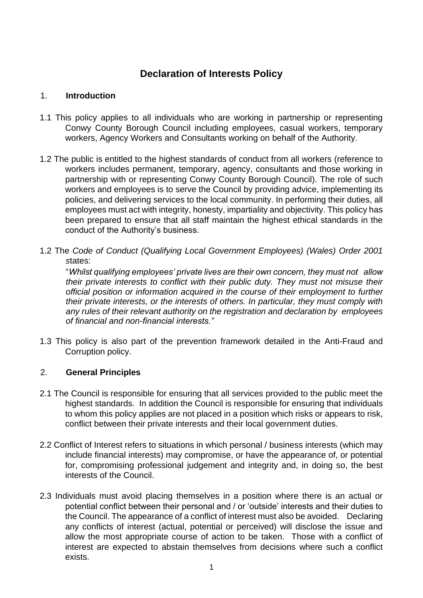# **Declaration of Interests Policy**

### 1. **Introduction**

- 1.1 This policy applies to all individuals who are working in partnership or representing Conwy County Borough Council including employees, casual workers, temporary workers, Agency Workers and Consultants working on behalf of the Authority.
- 1.2 The public is entitled to the highest standards of conduct from all workers (reference to workers includes permanent, temporary, agency, consultants and those working in partnership with or representing Conwy County Borough Council). The role of such workers and employees is to serve the Council by providing advice, implementing its policies, and delivering services to the local community. In performing their duties, all employees must act with integrity, honesty, impartiality and objectivity. This policy has been prepared to ensure that all staff maintain the highest ethical standards in the conduct of the Authority's business.
- 1.2 The *Code of Conduct (Qualifying Local Government Employees) (Wales) Order 2001 s*tates:

"*Whilst qualifying employees' private lives are their own concern, they must not allow their private interests to conflict with their public duty. They must not misuse their official position or information acquired in the course of their employment to further their private interests, or the interests of others. In particular, they must comply with any rules of their relevant authority on the registration and declaration by employees of financial and non-financial interests."* 

1.3 This policy is also part of the prevention framework detailed in the Anti-Fraud and Corruption policy.

#### 2. **General Principles**

- 2.1 The Council is responsible for ensuring that all services provided to the public meet the highest standards. In addition the Council is responsible for ensuring that individuals to whom this policy applies are not placed in a position which risks or appears to risk, conflict between their private interests and their local government duties.
- 2.2 Conflict of Interest refers to situations in which personal / business interests (which may include financial interests) may compromise, or have the appearance of, or potential for, compromising professional judgement and integrity and, in doing so, the best interests of the Council.
- 2.3 Individuals must avoid placing themselves in a position where there is an actual or potential conflict between their personal and / or 'outside' interests and their duties to the Council. The appearance of a conflict of interest must also be avoided. Declaring any conflicts of interest (actual, potential or perceived) will disclose the issue and allow the most appropriate course of action to be taken. Those with a conflict of interest are expected to abstain themselves from decisions where such a conflict exists.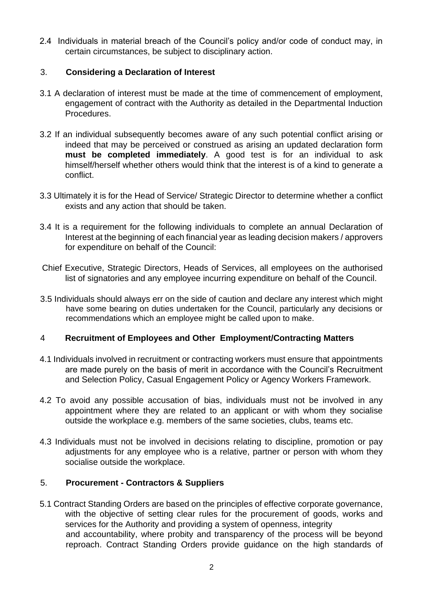2.4 Individuals in material breach of the Council's policy and/or code of conduct may, in certain circumstances, be subject to disciplinary action.

### 3. **Considering a Declaration of Interest**

- 3.1 A declaration of interest must be made at the time of commencement of employment, engagement of contract with the Authority as detailed in the Departmental Induction Procedures.
- 3.2 If an individual subsequently becomes aware of any such potential conflict arising or indeed that may be perceived or construed as arising an updated declaration form **must be completed immediately**. A good test is for an individual to ask himself/herself whether others would think that the interest is of a kind to generate a conflict.
- 3.3 Ultimately it is for the Head of Service/ Strategic Director to determine whether a conflict exists and any action that should be taken.
- 3.4 It is a requirement for the following individuals to complete an annual Declaration of Interest at the beginning of each financial year as leading decision makers / approvers for expenditure on behalf of the Council:
- Chief Executive, Strategic Directors, Heads of Services, all employees on the authorised list of signatories and any employee incurring expenditure on behalf of the Council.
- 3.5 Individuals should always err on the side of caution and declare any interest which might have some bearing on duties undertaken for the Council, particularly any decisions or recommendations which an employee might be called upon to make.

#### 4 **Recruitment of Employees and Other Employment/Contracting Matters**

- 4.1 Individuals involved in recruitment or contracting workers must ensure that appointments are made purely on the basis of merit in accordance with the Council's Recruitment and Selection Policy, Casual Engagement Policy or Agency Workers Framework.
- 4.2 To avoid any possible accusation of bias, individuals must not be involved in any appointment where they are related to an applicant or with whom they socialise outside the workplace e.g. members of the same societies, clubs, teams etc.
- 4.3 Individuals must not be involved in decisions relating to discipline, promotion or pay adjustments for any employee who is a relative, partner or person with whom they socialise outside the workplace.

## 5. **Procurement - Contractors & Suppliers**

5.1 Contract Standing Orders are based on the principles of effective corporate governance, with the objective of setting clear rules for the procurement of goods, works and services for the Authority and providing a system of openness, integrity and accountability, where probity and transparency of the process will be beyond reproach. Contract Standing Orders provide guidance on the high standards of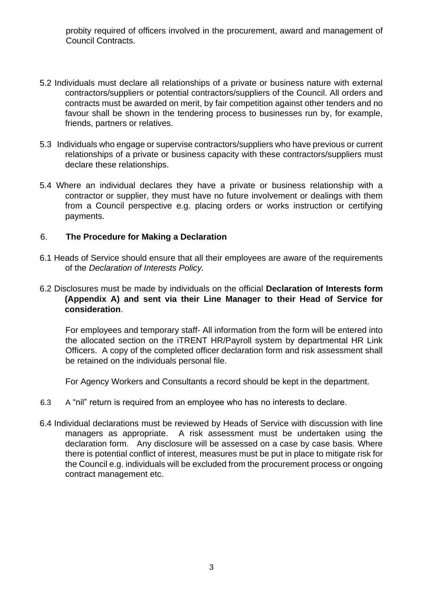probity required of officers involved in the procurement, award and management of Council Contracts.

- 5.2 Individuals must declare all relationships of a private or business nature with external contractors/suppliers or potential contractors/suppliers of the Council. All orders and contracts must be awarded on merit, by fair competition against other tenders and no favour shall be shown in the tendering process to businesses run by, for example, friends, partners or relatives.
- 5.3Individuals who engage or supervise contractors/suppliers who have previous or current relationships of a private or business capacity with these contractors/suppliers must declare these relationships.
- 5.4 Where an individual declares they have a private or business relationship with a contractor or supplier, they must have no future involvement or dealings with them from a Council perspective e.g. placing orders or works instruction or certifying payments.

#### 6. **The Procedure for Making a Declaration**

6.1 Heads of Service should ensure that all their employees are aware of the requirements of the *Declaration of Interests Policy.*

### 6.2 Disclosures must be made by individuals on the official **Declaration of Interests form (Appendix A) and sent via their Line Manager to their Head of Service for consideration**.

For employees and temporary staff- All information from the form will be entered into the allocated section on the iTRENT HR/Payroll system by departmental HR Link Officers. A copy of the completed officer declaration form and risk assessment shall be retained on the individuals personal file.

For Agency Workers and Consultants a record should be kept in the department.

- 6.3 A "nil" return is required from an employee who has no interests to declare.
- 6.4 Individual declarations must be reviewed by Heads of Service with discussion with line managers as appropriate. A risk assessment must be undertaken using the declaration form. Any disclosure will be assessed on a case by case basis. Where there is potential conflict of interest, measures must be put in place to mitigate risk for the Council e.g. individuals will be excluded from the procurement process or ongoing contract management etc.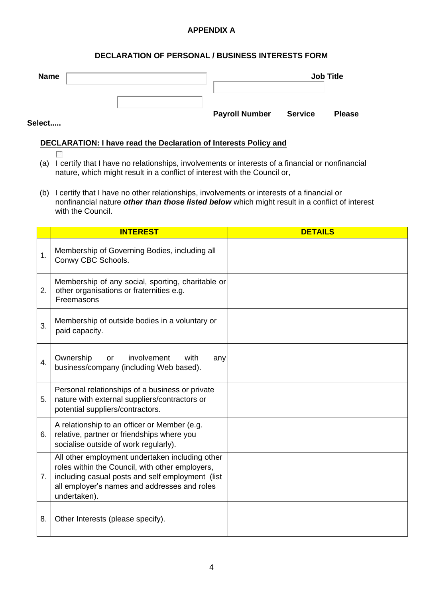#### **APPENDIX A**

#### **DECLARATION OF PERSONAL / BUSINESS INTERESTS FORM**

| <b>Name</b> |                       |                | <b>Job Title</b> |
|-------------|-----------------------|----------------|------------------|
|             |                       |                |                  |
| Select      | <b>Payroll Number</b> | <b>Service</b> | <b>Please</b>    |

#### $\overline{a}$ **DECLARATION: I have read the Declaration of Interests Policy and**

 $\sim$ 

- (a) I certify that I have no relationships, involvements or interests of a financial or nonfinancial nature, which might result in a conflict of interest with the Council or,
- (b) I certify that I have no other relationships, involvements or interests of a financial or nonfinancial nature *other than those listed below* which might result in a conflict of interest with the Council.

|    | <b>INTEREST</b>                                                                                                                                                                                                        | <b>DETAILS</b> |
|----|------------------------------------------------------------------------------------------------------------------------------------------------------------------------------------------------------------------------|----------------|
| 1. | Membership of Governing Bodies, including all<br>Conwy CBC Schools.                                                                                                                                                    |                |
| 2. | Membership of any social, sporting, charitable or<br>other organisations or fraternities e.g.<br>Freemasons                                                                                                            |                |
| 3. | Membership of outside bodies in a voluntary or<br>paid capacity.                                                                                                                                                       |                |
| 4. | Ownership<br>involvement<br>with<br>or<br>any<br>business/company (including Web based).                                                                                                                               |                |
| 5. | Personal relationships of a business or private<br>nature with external suppliers/contractors or<br>potential suppliers/contractors.                                                                                   |                |
| 6. | A relationship to an officer or Member (e.g.<br>relative, partner or friendships where you<br>socialise outside of work regularly).                                                                                    |                |
| 7. | All other employment undertaken including other<br>roles within the Council, with other employers,<br>including casual posts and self employment (list<br>all employer's names and addresses and roles<br>undertaken). |                |
| 8. | Other Interests (please specify).                                                                                                                                                                                      |                |